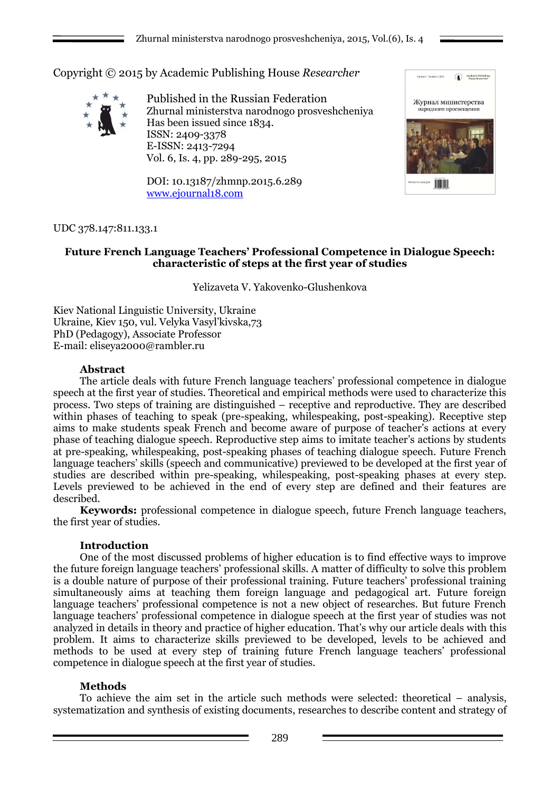Copyright © 2015 by Academic Publishing House *Researcher*



Published in the Russian Federation Zhurnal ministerstva narodnogo prosveshcheniya Has been issued since 1834. ISSN: 2409-3378 E-ISSN: 2413-7294 Vol. 6, Is. 4, pp. 289-295, 2015

DOI: 10.13187/zhmnp.2015.6.289 [www.ejournal18.com](http://www.ejournal18.com/)



### UDC 378.147:811.133.1

## **Future French Language Teachers' Professional Competence in Dialogue Speech: characteristic of steps at the first year of studies**

Yelizaveta V. Yakovenko-Glushenkova

Kiev National Linguistic University, Ukraine Ukraine, Kiev 150, vul. Velyka Vasyl'kivska,73 PhD (Pedagogy), Associate Professor E-mail: eliseya2000@rambler.ru

### **Abstract**

The article deals with future French language teachers' professional competence in dialogue speech at the first year of studies. Theoretical and empirical methods were used to characterize this process. Two steps of training are distinguished – receptive and reproductive. They are described within phases of teaching to speak (pre-speaking, whilespeaking, post-speaking). Receptive step aims to make students speak French and become aware of purpose of teacher's actions at every phase of teaching dialogue speech. Reproductive step aims to imitate teacher's actions by students at pre-speaking, whilespeaking, post-speaking phases of teaching dialogue speech. Future French language teachers' skills (speech and communicative) previewed to be developed at the first year of studies are described within pre-speaking, whilespeaking, post-speaking phases at every step. Levels previewed to be achieved in the end of every step are defined and their features are described.

**Keywords:** professional competence in dialogue speech, future French language teachers, the first year of studies.

### **Introduction**

One of the most discussed problems of higher education is to find effective ways to improve the future foreign language teachers' professional skills. A matter of difficulty to solve this problem is a double nature of purpose of their professional training. Future teachers' professional training simultaneously aims at teaching them foreign language and pedagogical art. Future foreign language teachers' professional competence is not a new object of researches. But future French language teachers' professional competence in dialogue speech at the first year of studies was not analyzed in details in theory and practice of higher education. That's why our article deals with this problem. It aims to characterize skills previewed to be developed, levels to be achieved and methods to be used at every step of training future French language teachers' professional competence in dialogue speech at the first year of studies.

### **Methods**

To achieve the aim set in the article such methods were selected: theoretical – analysis, systematization and synthesis of existing documents, researches to describe content and strategy of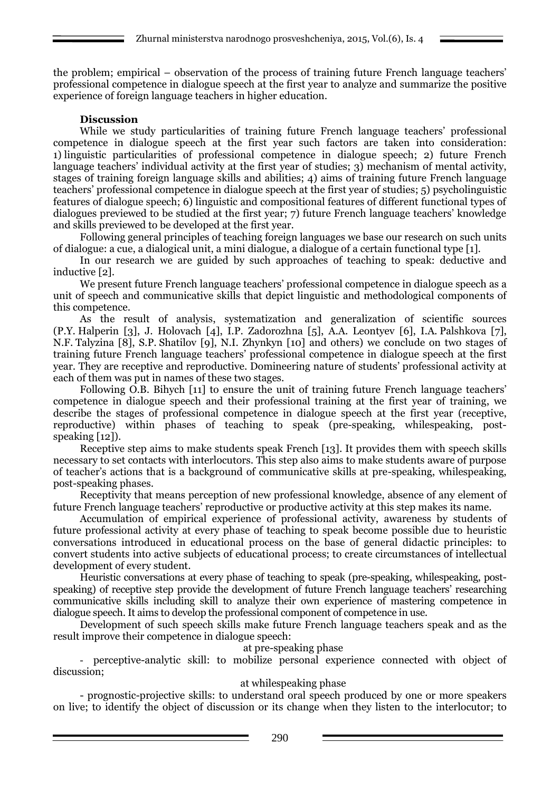the problem; empirical – observation of the process of training future French language teachers' professional competence in dialogue speech at the first year to analyze and summarize the positive experience of foreign language teachers in higher education.

# **Discussion**

While we study particularities of training future French language teachers' professional competence in dialogue speech at the first year such factors are taken into consideration: 1) linguistic particularities of professional competence in dialogue speech; 2) future French language teachers' individual activity at the first year of studies; 3) mechanism of mental activity, stages of training foreign language skills and abilities; 4) aims of training future French language teachers' professional competence in dialogue speech at the first year of studies; 5) psycholinguistic features of dialogue speech; 6) linguistic and compositional features of different functional types of dialogues previewed to be studied at the first year; 7) future French language teachers' knowledge and skills previewed to be developed at the first year.

Following general principles of teaching foreign languages we base our research on such units of dialogue: a cue, a dialogical unit, a mini dialogue, a dialogue of a certain functional type [1].

In our research we are guided by such approaches of teaching to speak: deductive and inductive [2].

We present future French language teachers' professional competence in dialogue speech as a unit of speech and communicative skills that depict linguistic and methodological components of this competence.

As the result of analysis, systematization and generalization of scientific sources (P.Y. Halperin [3], J. Holovach [4], I.P. Zadorozhna [5], A.A. Leontyev [6], I.A. Palshkova [7], N.F. Talyzina [8], S.P. Shatilov [9], N.I. Zhynkyn [10] and others) we conclude on two stages of training future French language teachers' professional competence in dialogue speech at the first year. They are receptive and reproductive. Domineering nature of students' professional activity at each of them was put in names of these two stages.

Following O.B. Bihych [11] to ensure the unit of training future French language teachers' competence in dialogue speech and their professional training at the first year of training, we describe the stages of professional competence in dialogue speech at the first year (receptive, reproductive) within phases of teaching to speak (pre-speaking, whilespeaking, postspeaking [12]).

Receptive step aims to make students speak French [13]. It provides them with speech skills necessary to set contacts with interlocutors. This step also aims to make students aware of purpose of teacher's actions that is a background of communicative skills at pre-speaking, whilespeaking, post-speaking phases.

Receptivity that means perception of new professional knowledge, absence of any element of future French language teachers' reproductive or productive activity at this step makes its name.

Accumulation of empirical experience of professional activity, awareness by students of future professional activity at every phase of teaching to speak become possible due to heuristic conversations introduced in educational process on the base of general didactic principles: to convert students into active subjects of educational process; to create circumstances of intellectual development of every student.

Heuristic conversations at every phase of teaching to speak (pre-speaking, whilespeaking, postspeaking) of receptive step provide the development of future French language teachers' researching communicative skills including skill to analyze their own experience of mastering competence in dialogue speech. It aims to develop the professional component of competence in use.

Development of such speech skills make future French language teachers speak and as the result improve their competence in dialogue speech:

at pre-speaking phase

- perceptive-analytic skill: to mobilize personal experience connected with object of discussion;

## at whilespeaking phase

- prognostic-projective skills: to understand oral speech produced by one or more speakers on live; to identify the object of discussion or its change when they listen to the interlocutor; to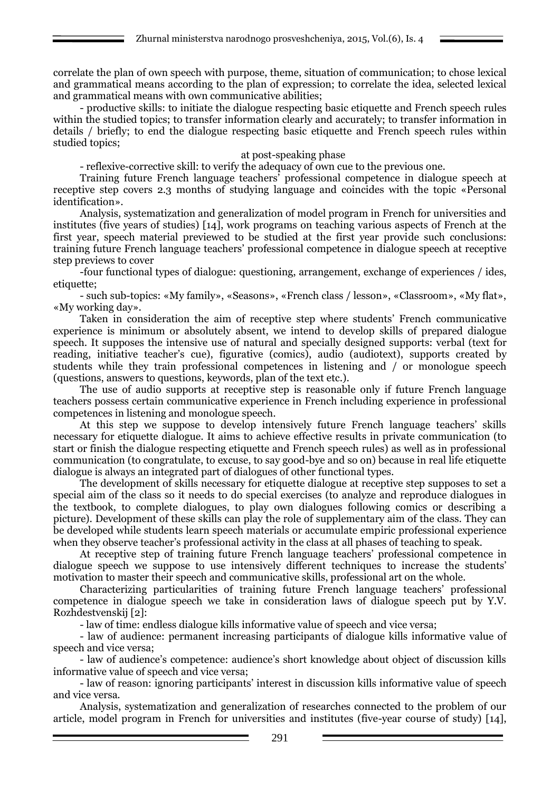correlate the plan of own speech with purpose, theme, situation of communication; to chose lexical and grammatical means according to the plan of expression; to correlate the idea, selected lexical and grammatical means with own communicative abilities;

- productive skills: to initiate the dialogue respecting basic etiquette and French speech rules within the studied topics; to transfer information clearly and accurately; to transfer information in details / briefly; to end the dialogue respecting basic etiquette and French speech rules within studied topics;

### at post-speaking phase

- reflexive-corrective skill: to verify the adequacy of own cue to the previous one.

Training future French language teachers' professional competence in dialogue speech at receptive step covers 2.3 months of studying language and coincides with the topic «Personal identification».

Analysis, systematization and generalization of model program in French for universities and institutes (five years of studies) [14], work programs on teaching various aspects of French at the first year, speech material previewed to be studied at the first year provide such conclusions: training future French language teachers' professional competence in dialogue speech at receptive step previews to cover

-four functional types of dialogue: questioning, arrangement, exchange of experiences / ides, etiquette:

- such sub-topics: «My family», «Seasons», «French class / lesson», «Classroom», «My flat», «My working day».

Taken in consideration the aim of receptive step where students' French communicative experience is minimum or absolutely absent, we intend to develop skills of prepared dialogue speech. It supposes the intensive use of natural and specially designed supports: verbal (text for reading, initiative teacher's cue), figurative (comics), audio (audiotext), supports created by students while they train professional competences in listening and / or monologue speech (questions, answers to questions, keywords, plan of the text etc.).

The use of audio supports at receptive step is reasonable only if future French language teachers possess certain communicative experience in French including experience in professional competences in listening and monologue speech.

At this step we suppose to develop intensively future French language teachers' skills necessary for etiquette dialogue. It aims to achieve effective results in private communication (to start or finish the dialogue respecting etiquette and French speech rules) as well as in professional communication (to congratulate, to excuse, to say good-bye and so on) because in real life etiquette dialogue is always an integrated part of dialogues of other functional types.

The development of skills necessary for etiquette dialogue at receptive step supposes to set a special aim of the class so it needs to do special exercises (to analyze and reproduce dialogues in the textbook, to complete dialogues, to play own dialogues following comics or describing a picture). Development of these skills can play the role of supplementary aim of the class. They can be developed while students learn speech materials or accumulate empiric professional experience when they observe teacher's professional activity in the class at all phases of teaching to speak.

At receptive step of training future French language teachers' professional competence in dialogue speech we suppose to use intensively different techniques to increase the students' motivation to master their speech and communicative skills, professional art on the whole.

Characterizing particularities of training future French language teachers' professional competence in dialogue speech we take in consideration laws of dialogue speech put by Y.V. Rozhdestvenskij [2]:

- law of time: endless dialogue kills informative value of speech and vice versa;

- law of audience: permanent increasing participants of dialogue kills informative value of speech and vice versa;

- law of audience's competence: audience's short knowledge about object of discussion kills informative value of speech and vice versa;

- law of reason: ignoring participants' interest in discussion kills informative value of speech and vice versa.

Analysis, systematization and generalization of researches connected to the problem of our article, model program in French for universities and institutes (five-year course of study) [14],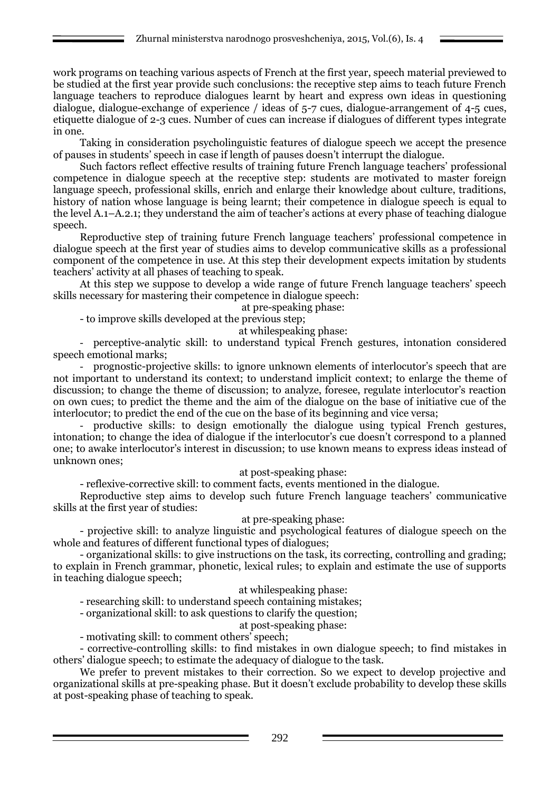work programs on teaching various aspects of French at the first year, speech material previewed to be studied at the first year provide such conclusions: the receptive step aims to teach future French language teachers to reproduce dialogues learnt by heart and express own ideas in questioning dialogue, dialogue-exchange of experience / ideas of 5-7 cues, dialogue-arrangement of 4-5 cues, etiquette dialogue of 2-3 cues. Number of cues can increase if dialogues of different types integrate in one.

Taking in consideration psycholinguistic features of dialogue speech we accept the presence of pauses in students' speech in case if length of pauses doesn't interrupt the dialogue.

Such factors reflect effective results of training future French language teachers' professional competence in dialogue speech at the receptive step: students are motivated to master foreign language speech, professional skills, enrich and enlarge their knowledge about culture, traditions, history of nation whose language is being learnt; their competence in dialogue speech is equal to the level А.1–А.2.1; they understand the aim of teacher's actions at every phase of teaching dialogue speech.

Reproductive step of training future French language teachers' professional competence in dialogue speech at the first year of studies aims to develop communicative skills as a professional component of the competence in use. At this step their development expects imitation by students teachers' activity at all phases of teaching to speak.

At this step we suppose to develop a wide range of future French language teachers' speech skills necessary for mastering their competence in dialogue speech:

at pre-speaking phase:

- to improve skills developed at the previous step;

at whilespeaking phase:

- perceptive-analytic skill: to understand typical French gestures, intonation considered speech emotional marks;

- prognostic-projective skills: to ignore unknown elements of interlocutor's speech that are not important to understand its context; to understand implicit context; to enlarge the theme of discussion; to change the theme of discussion; to analyze, foresee, regulate interlocutor's reaction on own cues; to predict the theme and the aim of the dialogue on the base of initiative cue of the interlocutor; to predict the end of the cue on the base of its beginning and vice versa;

- productive skills: to design emotionally the dialogue using typical French gestures, intonation; to change the idea of dialogue if the interlocutor's cue doesn't correspond to a planned one; to awake interlocutor's interest in discussion; to use known means to express ideas instead of unknown ones;

at post-speaking phase:

- reflexive-corrective skill: to comment facts, events mentioned in the dialogue.

Reproductive step aims to develop such future French language teachers' communicative skills at the first year of studies:

at pre-speaking phase:

- projective skill: to analyze linguistic and psychological features of dialogue speech on the whole and features of different functional types of dialogues;

- organizational skills: to give instructions on the task, its correcting, controlling and grading; to explain in French grammar, phonetic, lexical rules; to explain and estimate the use of supports in teaching dialogue speech;

at whilespeaking phase:

- researching skill: to understand speech containing mistakes;

- organizational skill: to ask questions to clarify the question;

at post-speaking phase:

- motivating skill: to comment others' speech;

- corrective-controlling skills: to find mistakes in own dialogue speech; to find mistakes in others' dialogue speech; to estimate the adequacy of dialogue to the task.

We prefer to prevent mistakes to their correction. So we expect to develop projective and organizational skills at pre-speaking phase. But it doesn't exclude probability to develop these skills at post-speaking phase of teaching to speak.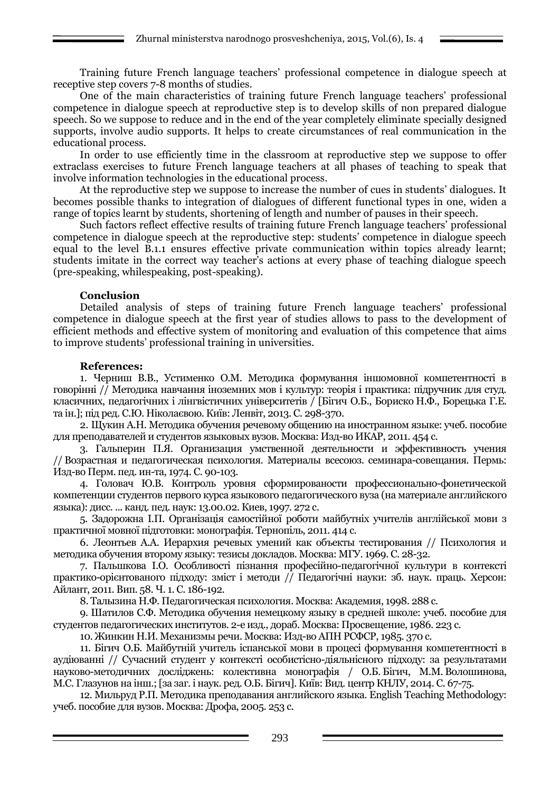Training future French language teachers' professional competence in dialogue speech at receptive step covers 7-8 months of studies.

One of the main characteristics of training future French language teachers' professional competence in dialogue speech at reproductive step is to develop skills of non prepared dialogue speech. So we suppose to reduce and in the end of the year completely eliminate specially designed supports, involve audio supports. It helps to create circumstances of real communication in the educational process.

In order to use efficiently time in the classroom at reproductive step we suppose to offer extraclass exercises to future French language teachers at all phases of teaching to speak that involve information technologies in the educational process.

At the reproductive step we suppose to increase the number of cues in students' dialogues. It becomes possible thanks to integration of dialogues of different functional types in one, widen a range of topics learnt by students, shortening of length and number of pauses in their speech.

Such factors reflect effective results of training future French language teachers' professional competence in dialogue speech at the reproductive step: students' competence in dialogue speech equal to the level B.1.1 ensures effective private communication within topics already learnt; students imitate in the correct way teacher's actions at every phase of teaching dialogue speech (pre-speaking, whilespeaking, post-speaking).

### **Conclusion**

Detailed analysis of steps of training future French language teachers' professional competence in dialogue speech at the first year of studies allows to pass to the development of efficient methods and effective system of monitoring and evaluation of this competence that aims to improve students' professional training in universities.

## **References:**

1. Черниш В.В., Устименко О.М. Методика формування іншомовної компетентності в говорінні // Методика навчання іноземних мов і культур: теорія і практика: підручник для студ. класичних, педагогічних і лінгвістичних університетів / [Бігич О.Б., Бориско Н.Ф., Борецька Г.Е. та ін.]; під ред. С.Ю. Ніколаєвою. Київ: Ленвіт, 2013. С. 298-370.

2. Щукин А.Н. Методика обучения речевому общению на иностранном языке: учеб. пособие для преподавателей и студентов языковых вузов. Москва: Изд-во ИКАР, 2011. 454 с.

3. Гальперин П.Я. Организация умственной деятельности и эффективность учения // Возрастная и педагогическая психология. Материалы всесоюз. семинара-совещания. Пермь: Изд-во Перм. пед. ин-та, 1974. С. 90-103.

4. Головач Ю.В. Контроль уровня сформированости профессионально-фонетической компетенции студентов первого курса языкового педагогического вуза (на материале английского языка): дисс. ... канд. пед. наук: 13.00.02. Киев, 1997. 272 с.

5. Задорожна І.П. Організація самостійної роботи майбутніх учителів англійської мови з практичної мовної підготовки: монографія. Тернопіль, 2011. 414 c.

6. Леонтьев А.А. Иерархия речевых умений как объекты тестирования // Психология и методика обучения второму языку: тезисы докладов. Москва: МГУ. 1969. С. 28-32.

7. Пальшкова І.О. Особливості пізнання професійно-педагогічної культури в контексті практико-орієнтованого підходу: зміст і методи // Педагогічні науки: зб. наук. праць. Херсон: Айлант, 2011. Вип. 58. Ч. 1. С. 186-192.

8. Талызина Н.Ф. Педагогическая психология. Москва: Академия, 1998. 288 с.

9. Шатилов С.Ф. Методика обучения немецкому языку в средней школе: учеб. пособие для студентов педагогических институтов. 2-е изд., дораб. Москва: Просвещение, 1986. 223 с.

10. Жинкин Н.И. Механизмы речи. Москва: Изд-во АПН РСФСР, 1985. 370 с.

11. Бігич О.Б. Майбутній учитель іспанської мови в процесі формування компетентності в аудіюванні // Сучасний студент у контексті особистісно-діяльнісного підходу: за результатами науково-методичних досліджень: колективна монографія / О.Б. Бігич, М.М. Волошинова, М.С. Глазунов на інш.; [за заг. і наук. ред. О.Б. Бігич]. Київ: Вид. центр КНЛУ, 2014. С. 67-75.

12. Мильруд Р.П. Методика преподавания английского языка. English Teaching Methodology: учеб. пособие для вузов. Москва: Дрофа, 2005. 253 с.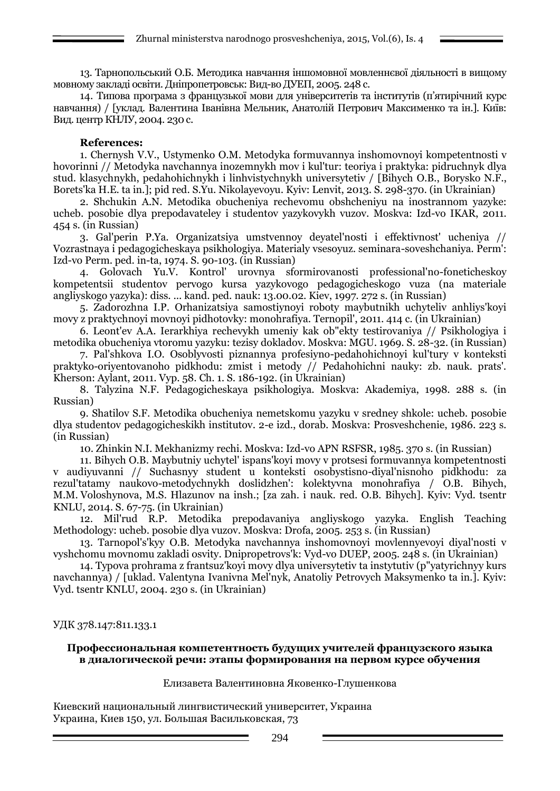13. Тарнопольський О.Б. Методика навчання іншомовної мовленнєвої діяльності в вищому мовному закладі освіти. Дніпропетровськ: Вид-во ДУЕП, 2005. 248 с.

14. Типова програма з французької мови для університетів та інститутів (п'ятирічний курс навчання) / [уклад. Валентина Іванівна Мельник, Анатолій Петрович Максименко та ін.]. Київ: Вид. центр КНЛУ, 2004. 230 с.

### **References:**

1. Chernysh V.V., Ustymenko O.M. Metodyka formuvannya inshomovnoyi kompetentnosti v hovorinni // Metodyka navchannya inozemnykh mov i kul'tur: teoriya i praktyka: pidruchnyk dlya stud. klasychnykh, pedahohichnykh i linhvistychnykh universytetiv / [Bihych O.B., Borysko N.F., Borets'ka H.E. ta in.]; pid red. S.Yu. Nikolayevoyu. Kyiv: Lenvit, 2013. S. 298-370. (in Ukrainian)

2. Shchukin A.N. Metodika obucheniya rechevomu obshcheniyu na inostrannom yazyke: ucheb. posobie dlya prepodavateley i studentov yazykovykh vuzov. Moskva: Izd-vo IKAR, 2011. 454 s. (in Russian)

3. Gal'perin P.Ya. Organizatsiya umstvennoy deyatel'nosti i effektivnost' ucheniya // Vozrastnaya i pedagogicheskaya psikhologiya. Materialy vsesoyuz. seminara-soveshchaniya. Perm': Izd-vo Perm. ped. in-ta, 1974. S. 90-103. (in Russian)

4. Golovach Yu.V. Kontrol' urovnya sformirovanosti professional'no-foneticheskoy kompetentsii studentov pervogo kursa yazykovogo pedagogicheskogo vuza (na materiale angliyskogo yazyka): diss. ... kand. ped. nauk: 13.00.02. Kiev, 1997. 272 s. (in Russian)

5. Zadorozhna I.P. Orhanizatsiya samostiynoyi roboty maybutnikh uchyteliv anhliys'koyi movy z praktychnoyi movnoyi pidhotovky: monohrafiya. Ternopil', 2011. 414 c. (in Ukrainian)

6. Leont'ev A.A. Ierarkhiya rechevykh umeniy kak ob"ekty testirovaniya // Psikhologiya i metodika obucheniya vtoromu yazyku: tezisy dokladov. Moskva: MGU. 1969. S. 28-32. (in Russian)

7. Pal'shkova I.O. Osoblyvosti piznannya profesiyno-pedahohichnoyi kul'tury v konteksti praktyko-oriyentovanoho pidkhodu: zmist i metody // Pedahohichni nauky: zb. nauk. prats'. Kherson: Aylant, 2011. Vyp. 58. Ch. 1. S. 186-192. (in Ukrainian)

8. Talyzina N.F. Pedagogicheskaya psikhologiya. Moskva: Akademiya, 1998. 288 s. (in Russian)

9. Shatilov S.F. Metodika obucheniya nemetskomu yazyku v sredney shkole: ucheb. posobie dlya studentov pedagogicheskikh institutov. 2-e izd., dorab. Moskva: Prosveshchenie, 1986. 223 s. (in Russian)

10. Zhinkin N.I. Mekhanizmy rechi. Moskva: Izd-vo APN RSFSR, 1985. 370 s. (in Russian)

11. Bihych O.B. Maybutniy uchytel' ispans'koyi movy v protsesi formuvannya kompetentnosti v audiyuvanni // Suchasnyy student u konteksti osobystisno-diyal'nisnoho pidkhodu: za rezul'tatamy naukovo-metodychnykh doslidzhen': kolektyvna monohrafiya / O.B. Bihych, M.M. Voloshynova, M.S. Hlazunov na insh.; [za zah. i nauk. red. O.B. Bihych]. Kyiv: Vyd. tsentr KNLU, 2014. S. 67-75. (in Ukrainian)

12. Mil'rud R.P. Metodika prepodavaniya angliyskogo yazyka. English Teaching Methodology: ucheb. posobie dlya vuzov. Moskva: Drofa, 2005. 253 s. (in Russian)

13. Tarnopol's'kyy O.B. Metodyka navchannya inshomovnoyi movlennyevoyi diyal'nosti v vyshchomu movnomu zakladi osvity. Dnipropetrovs'k: Vyd-vo DUEP, 2005. 248 s. (in Ukrainian)

14. Typova prohrama z frantsuz'koyi movy dlya universytetiv ta instytutiv (p"yatyrichnyy kurs navchannya) / [uklad. Valentyna Ivanivna Mel'nyk, Anatoliy Petrovych Maksymenko ta in.]. Kyiv: Vyd. tsentr KNLU, 2004. 230 s. (in Ukrainian)

### УДК 378.147:811.133.1

#### **Профессиональная компетентность будущих учителей французского языка в диалогической речи: этапы формирования на первом курсе обучения**

### Елизавета Валентиновна Яковенко-Глушенкова

Киевский национальный лингвистический университет, Украина Украина, Киев 150, ул. Большая Васильковская, 73